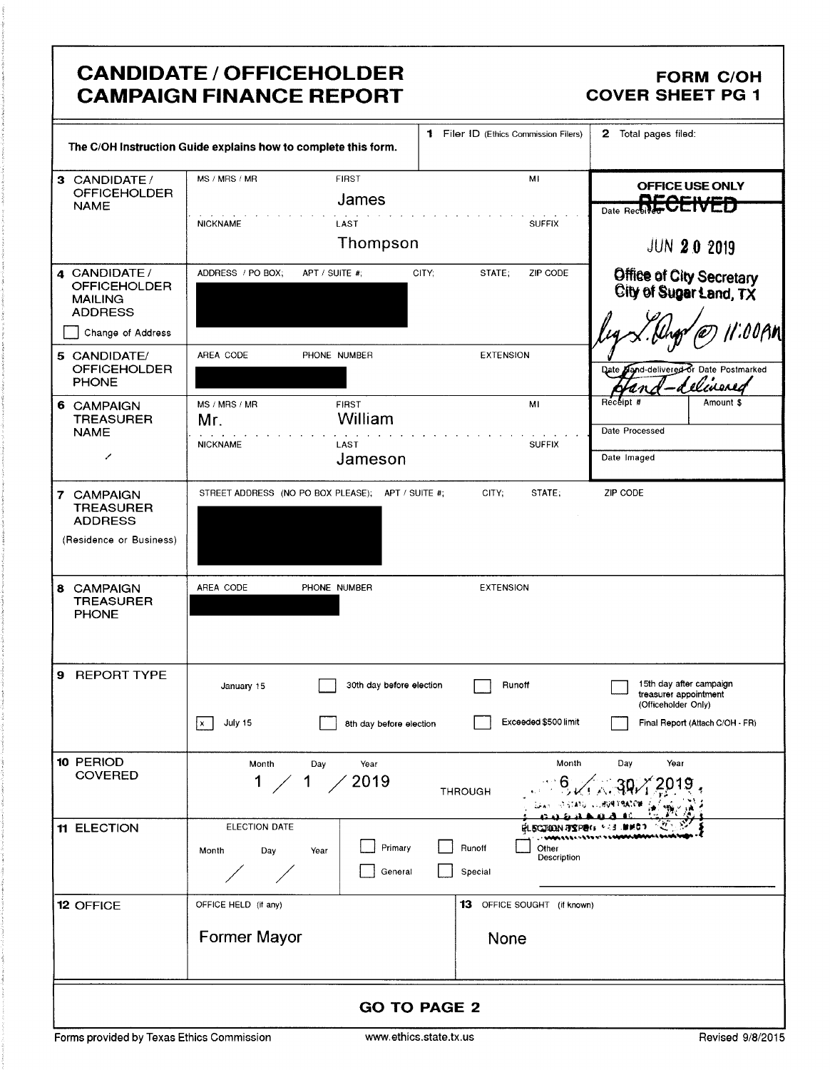## **CANDIDATE / OFFICEHOLDER CAMPAIGN FINANCE REPORT**

### **FORM C/OH COVER SHEET PG 1**

|                                                                                                  | The C/OH Instruction Guide explains how to complete this form.                              | 1 Filer ID (Ethics Commission Filers)     | 2 Total pages filed:                                                                                       |  |  |  |  |
|--------------------------------------------------------------------------------------------------|---------------------------------------------------------------------------------------------|-------------------------------------------|------------------------------------------------------------------------------------------------------------|--|--|--|--|
| 3 CANDIDATE/<br><b>OFFICEHOLDER</b><br><b>NAME</b>                                               | MS / MRS / MR<br><b>FIRST</b><br>James<br><b>NICKNAME</b><br>LAST<br>Thompson               | MI<br><b>SUFFIX</b>                       | OFFICE USE ONLY<br><u>Aracume</u><br>Date Received <b>ULIVLD</b>                                           |  |  |  |  |
|                                                                                                  |                                                                                             |                                           | <b>JUN 20 2019</b>                                                                                         |  |  |  |  |
| 4 CANDIDATE/<br><b>OFFICEHOLDER</b><br><b>MAILING</b><br><b>ADDRESS</b><br>Change of Address     | ADDRESS / PO BOX;<br>APT / SUITE #;                                                         | CITY;<br>STATE;<br>ZIP CODE               | Office of City Secretary<br>City of Sugar Land, TX<br>oopn                                                 |  |  |  |  |
| 5 CANDIDATE/<br><b>OFFICEHOLDER</b><br><b>PHONE</b>                                              | AREA CODE<br>PHONE NUMBER                                                                   | <b>EXTENSION</b>                          | and-delivered or Date Postmarked<br>Date<br><u>Ilinened</u>                                                |  |  |  |  |
| 6 CAMPAIGN<br><b>TREASURER</b><br><b>NAME</b><br>╱                                               | MS / MRS / MR<br>FIRST<br>William<br>Mr.<br><b>NICKNAME</b><br>LAST<br>Jameson              | MI<br><b>SUFFIX</b>                       | Receipt #<br>Amount \$<br>Date Processed<br>Date Imaged                                                    |  |  |  |  |
| <b>CAMPAIGN</b><br>$\mathbf{7}$<br><b>TREASURER</b><br><b>ADDRESS</b><br>(Residence or Business) | STREET ADDRESS (NO PO BOX PLEASE); APT / SUITE #;                                           | CITY;<br>STATE;                           | ZIP CODE                                                                                                   |  |  |  |  |
| 8 CAMPAIGN<br><b>TREASURER</b><br><b>PHONE</b>                                                   | AREA CODE<br>PHONE NUMBER                                                                   | <b>EXTENSION</b>                          |                                                                                                            |  |  |  |  |
| 9 REPORT TYPE                                                                                    | 30th day before election<br>January 15<br>$\boxed{x}$<br>July 15<br>8th day before election | Runoff<br>Exceeded \$500 limit            | 15th day after campaign<br>treasurer appointment<br>(Officeholder Only)<br>Final Report (Attach C/OH - FR) |  |  |  |  |
| 10 PERIOD<br><b>COVERED</b>                                                                      | Year<br>Month<br>Day<br>2019<br>$1 \,$<br>1                                                 | Month<br><b>THROUGH</b>                   | Day<br>Year                                                                                                |  |  |  |  |
| 11 ELECTION                                                                                      | ELECTION DATE<br>Primary<br>Month<br>Day<br>Year<br>General                                 | Runoff<br>Other<br>Description<br>Special |                                                                                                            |  |  |  |  |
| 12 OFFICE                                                                                        | OFFICE HELD (if any)                                                                        | 13 OFFICE SOUGHT (if known)               |                                                                                                            |  |  |  |  |
|                                                                                                  | Former Mayor                                                                                | None                                      |                                                                                                            |  |  |  |  |
|                                                                                                  |                                                                                             | <b>GO TO PAGE 2</b>                       |                                                                                                            |  |  |  |  |
|                                                                                                  | www.ethics.state.tx.us<br>Forms provided by Texas Ethics Commission<br>Revised 9/8/2015     |                                           |                                                                                                            |  |  |  |  |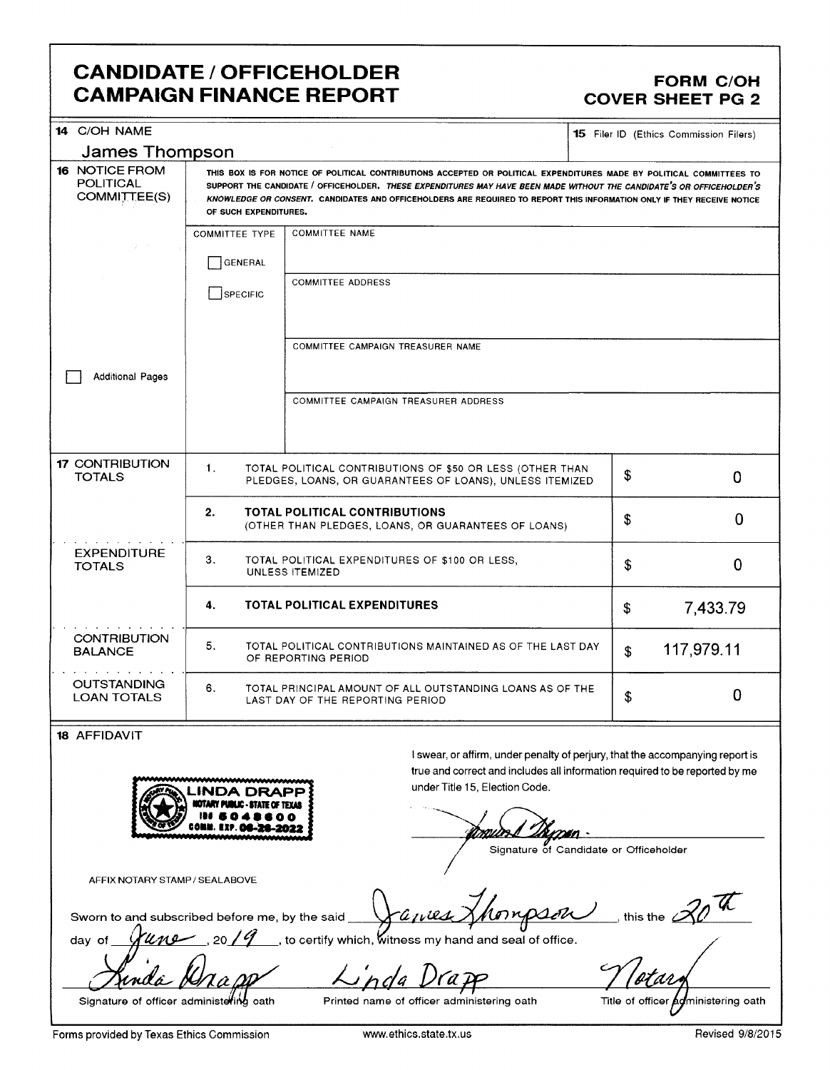## **CANDIDATE / OFFICEHOLDER CAMPAIGN FINANCE REPORT**

### **FORM C/OH COVER SHEET PG 2**

| 14 C/OH NAME                                                                         |                                                                                                                                                                                                                                                                                                                                                                                                  |                                                                                                                                                                                                                                          |    | <b>15</b> Filer ID (Ethics Commission Filers) |  |  |  |  |
|--------------------------------------------------------------------------------------|--------------------------------------------------------------------------------------------------------------------------------------------------------------------------------------------------------------------------------------------------------------------------------------------------------------------------------------------------------------------------------------------------|------------------------------------------------------------------------------------------------------------------------------------------------------------------------------------------------------------------------------------------|----|-----------------------------------------------|--|--|--|--|
| <b>James Thompson</b>                                                                |                                                                                                                                                                                                                                                                                                                                                                                                  |                                                                                                                                                                                                                                          |    |                                               |  |  |  |  |
| <b>16 NOTICE FROM</b><br><b>POLITICAL</b><br>COMMITTEE(S)                            | THIS BOX IS FOR NOTICE OF POLITICAL CONTRIBUTIONS ACCEPTED OR POLITICAL EXPENDITURES MADE BY POLITICAL COMMITTEES TO<br>SUPPORT THE CANDIDATE / OFFICEHOLDER, THESE EXPENDITURES MAY HAVE BEEN MADE WITHOUT THE CANDIDATE'S OR OFFICEHOLDER'S<br>KNOWLEDGE OR CONSENT. CANDIDATES AND OFFICEHOLDERS ARE REQUIRED TO REPORT THIS INFORMATION ONLY IF THEY RECEIVE NOTICE<br>OF SUCH EXPENDITURES. |                                                                                                                                                                                                                                          |    |                                               |  |  |  |  |
|                                                                                      | <b>COMMITTEE TYPE</b><br>GENERAL<br>SPECIFIC                                                                                                                                                                                                                                                                                                                                                     | <b>COMMITTEE NAME</b><br><b>COMMITTEE ADDRESS</b>                                                                                                                                                                                        |    |                                               |  |  |  |  |
| <b>Additional Pages</b>                                                              |                                                                                                                                                                                                                                                                                                                                                                                                  | COMMITTEE CAMPAIGN TREASURER NAME                                                                                                                                                                                                        |    |                                               |  |  |  |  |
|                                                                                      |                                                                                                                                                                                                                                                                                                                                                                                                  |                                                                                                                                                                                                                                          |    |                                               |  |  |  |  |
| <b>17 CONTRIBUTION</b><br><b>TOTALS</b>                                              | 1.                                                                                                                                                                                                                                                                                                                                                                                               | TOTAL POLITICAL CONTRIBUTIONS OF \$50 OR LESS (OTHER THAN<br>PLEDGES, LOANS, OR GUARANTEES OF LOANS), UNLESS ITEMIZED                                                                                                                    | \$ | 0                                             |  |  |  |  |
|                                                                                      | 2.<br><b>TOTAL POLITICAL CONTRIBUTIONS</b><br>(OTHER THAN PLEDGES, LOANS, OR GUARANTEES OF LOANS)                                                                                                                                                                                                                                                                                                | \$                                                                                                                                                                                                                                       | 0  |                                               |  |  |  |  |
| <b>EXPENDITURE</b><br><b>TOTALS</b>                                                  | 3.<br>TOTAL POLITICAL EXPENDITURES OF \$100 OR LESS,<br>UNLESS ITEMIZED                                                                                                                                                                                                                                                                                                                          | \$                                                                                                                                                                                                                                       | 0  |                                               |  |  |  |  |
|                                                                                      | 4.                                                                                                                                                                                                                                                                                                                                                                                               | <b>TOTAL POLITICAL EXPENDITURES</b>                                                                                                                                                                                                      | \$ | 7,433.79                                      |  |  |  |  |
| <b>CONTRIBUTION</b><br><b>BALANCE</b>                                                | 5.                                                                                                                                                                                                                                                                                                                                                                                               | TOTAL POLITICAL CONTRIBUTIONS MAINTAINED AS OF THE LAST DAY<br>OF REPORTING PERIOD                                                                                                                                                       | \$ | 117,979.11                                    |  |  |  |  |
| <b>OUTSTANDING</b><br><b>LOAN TOTALS</b>                                             | 6.<br>TOTAL PRINCIPAL AMOUNT OF ALL OUTSTANDING LOANS AS OF THE<br>LAST DAY OF THE REPORTING PERIOD                                                                                                                                                                                                                                                                                              | \$                                                                                                                                                                                                                                       | 0  |                                               |  |  |  |  |
| 18 AFFIDAVIT                                                                         |                                                                                                                                                                                                                                                                                                                                                                                                  |                                                                                                                                                                                                                                          |    |                                               |  |  |  |  |
|                                                                                      |                                                                                                                                                                                                                                                                                                                                                                                                  | I swear, or affirm, under penalty of perjury, that the accompanying report is<br>true and correct and includes all information required to be reported by me<br>under Title 15, Election Code.<br>Signature of Candidate or Officeholder |    |                                               |  |  |  |  |
| AFFIX NOTARY STAMP / SEALABOVE<br>Sworn to and subscribed before me, by the said ___ |                                                                                                                                                                                                                                                                                                                                                                                                  | inpson<br>Janes                                                                                                                                                                                                                          |    | this the $\mathscr{A}$                        |  |  |  |  |
| une<br>day of                                                                        | ,20/9                                                                                                                                                                                                                                                                                                                                                                                            | $\_$ , to certify which, witness my hand and seal of office.                                                                                                                                                                             |    |                                               |  |  |  |  |
|                                                                                      |                                                                                                                                                                                                                                                                                                                                                                                                  | L'nda                                                                                                                                                                                                                                    |    |                                               |  |  |  |  |

Forms provided by Texas Ethics Commission

Signature of officer administering oath

Printed name of officer administering oath

Revised 9/8/2015

Title of officer agministering oath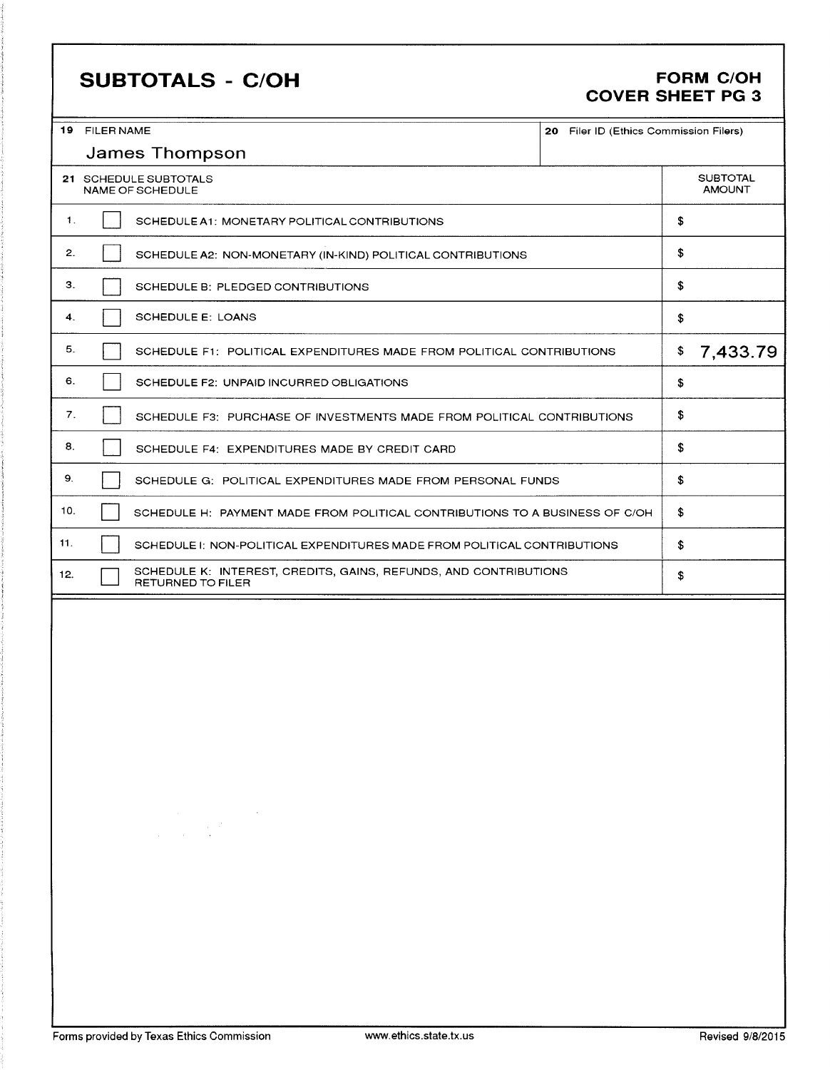# **SUBTOTALS - C/OH**

### **FORM C/OH COVER SHEET PG 3**

|                | 19 FILER NAME                                                                                                                                                                                                                                                                                                                                                                                                                                                            | 20 Filer ID (Ethics Commission Filers) |    |                                  |  |
|----------------|--------------------------------------------------------------------------------------------------------------------------------------------------------------------------------------------------------------------------------------------------------------------------------------------------------------------------------------------------------------------------------------------------------------------------------------------------------------------------|----------------------------------------|----|----------------------------------|--|
|                | <b>James Thompson</b>                                                                                                                                                                                                                                                                                                                                                                                                                                                    |                                        |    |                                  |  |
|                | 21 SCHEDULE SUBTOTALS<br>NAME OF SCHEDULE                                                                                                                                                                                                                                                                                                                                                                                                                                |                                        |    | <b>SUBTOTAL</b><br><b>AMOUNT</b> |  |
| $\mathbf{1}$ . | SCHEDULE A1: MONETARY POLITICAL CONTRIBUTIONS                                                                                                                                                                                                                                                                                                                                                                                                                            |                                        | \$ |                                  |  |
| 2.             | SCHEDULE A2: NON-MONETARY (IN-KIND) POLITICAL CONTRIBUTIONS                                                                                                                                                                                                                                                                                                                                                                                                              |                                        | \$ |                                  |  |
| 3.             | SCHEDULE B: PLEDGED CONTRIBUTIONS                                                                                                                                                                                                                                                                                                                                                                                                                                        |                                        | \$ |                                  |  |
| 4.             | SCHEDULE E: LOANS                                                                                                                                                                                                                                                                                                                                                                                                                                                        |                                        | \$ |                                  |  |
| 5.             | SCHEDULE F1: POLITICAL EXPENDITURES MADE FROM POLITICAL CONTRIBUTIONS                                                                                                                                                                                                                                                                                                                                                                                                    |                                        | \$ | 7,433.79                         |  |
| 6.             | SCHEDULE F2: UNPAID INCURRED OBLIGATIONS                                                                                                                                                                                                                                                                                                                                                                                                                                 |                                        | \$ |                                  |  |
| 7.             | SCHEDULE F3: PURCHASE OF INVESTMENTS MADE FROM POLITICAL CONTRIBUTIONS                                                                                                                                                                                                                                                                                                                                                                                                   |                                        | \$ |                                  |  |
| 8.             | SCHEDULE F4: EXPENDITURES MADE BY CREDIT CARD                                                                                                                                                                                                                                                                                                                                                                                                                            |                                        | \$ |                                  |  |
| 9.             | SCHEDULE G: POLITICAL EXPENDITURES MADE FROM PERSONAL FUNDS                                                                                                                                                                                                                                                                                                                                                                                                              |                                        | \$ |                                  |  |
| 10.            | SCHEDULE H: PAYMENT MADE FROM POLITICAL CONTRIBUTIONS TO A BUSINESS OF C/OH                                                                                                                                                                                                                                                                                                                                                                                              |                                        | \$ |                                  |  |
| 11.            | SCHEDULE I: NON-POLITICAL EXPENDITURES MADE FROM POLITICAL CONTRIBUTIONS                                                                                                                                                                                                                                                                                                                                                                                                 |                                        | \$ |                                  |  |
| 12.            | SCHEDULE K: INTEREST, CREDITS, GAINS, REFUNDS, AND CONTRIBUTIONS<br>RETURNED TO FILER                                                                                                                                                                                                                                                                                                                                                                                    |                                        | \$ |                                  |  |
|                | $\label{eq:2.1} \begin{split} \mathcal{L}_{\text{max}}(\mathbf{r},\mathbf{r}) = \mathcal{L}_{\text{max}}(\mathbf{r},\mathbf{r}) \mathcal{L}_{\text{max}}(\mathbf{r},\mathbf{r}) \mathcal{L}_{\text{max}}(\mathbf{r},\mathbf{r}) \mathcal{L}_{\text{max}}(\mathbf{r},\mathbf{r}) \mathcal{L}_{\text{max}}(\mathbf{r},\mathbf{r},\mathbf{r}) \mathcal{L}_{\text{max}}(\mathbf{r},\mathbf{r},\mathbf{r}) \mathcal{L}_{\text{max}}(\mathbf{r},\mathbf{r},\mathbf{r},\mathbf$ |                                        |    |                                  |  |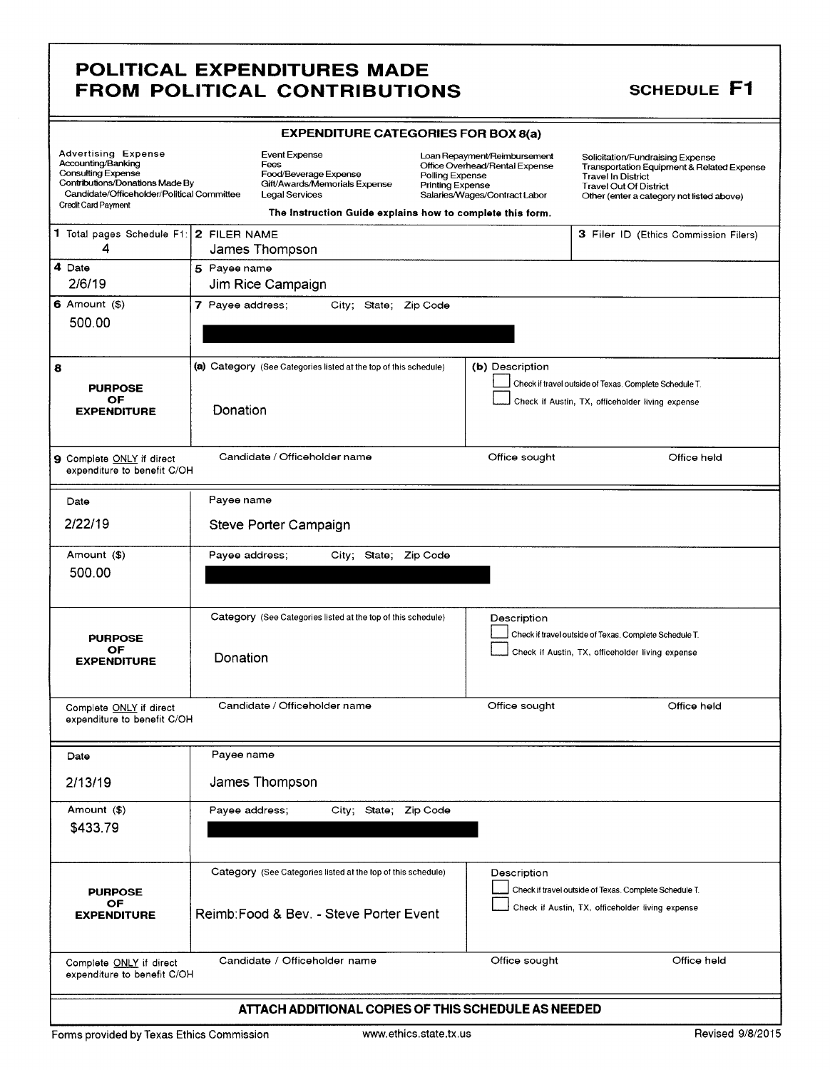### **SCHEDULE F1**

|                                                                                                                                                                                       | <b>EXPENDITURE CATEGORIES FOR BOX 8(a)</b>                                                                      |                                                                                                                                                                                                            |                                                                                                                                                                                           |  |  |  |  |  |
|---------------------------------------------------------------------------------------------------------------------------------------------------------------------------------------|-----------------------------------------------------------------------------------------------------------------|------------------------------------------------------------------------------------------------------------------------------------------------------------------------------------------------------------|-------------------------------------------------------------------------------------------------------------------------------------------------------------------------------------------|--|--|--|--|--|
| <b>Advertising Expense</b><br>Accounting/Banking<br><b>Consulting Expense</b><br>Contributions/Donations Made By<br>Candidate/Officeholder/Political Committee<br>Credit Card Payment | <b>Event Expense</b><br>Fees<br>Food/Beverage Expense<br>Gift/Awards/Memorials Expense<br><b>Legal Services</b> | Loan Repayment/Reimbursement<br>Office Overhead/Rental Expense<br>Polling Expense<br><b>Printing Expense</b><br>Salaries/Wages/Contract Labor<br>The Instruction Guide explains how to complete this form. | Solicitation/Fundraising Expense<br>Transportation Equipment & Related Expense<br><b>Travel In District</b><br><b>Travel Out Of District</b><br>Other (enter a category not listed above) |  |  |  |  |  |
| 1 Total pages Schedule F1: 2 FILER NAME<br>4                                                                                                                                          | James Thompson                                                                                                  |                                                                                                                                                                                                            | 3 Filer ID (Ethics Commission Filers)                                                                                                                                                     |  |  |  |  |  |
| 4 Date<br>2/6/19                                                                                                                                                                      | 5 Payee name<br>Jim Rice Campaign                                                                               |                                                                                                                                                                                                            |                                                                                                                                                                                           |  |  |  |  |  |
| $6$ Amount $(3)$<br>500.00                                                                                                                                                            | 7 Payee address;<br>City; State; Zip Code                                                                       |                                                                                                                                                                                                            |                                                                                                                                                                                           |  |  |  |  |  |
| 8<br><b>PURPOSE</b><br>OF<br><b>EXPENDITURE</b>                                                                                                                                       | (a) Category (See Categories listed at the top of this schedule)<br>Donation                                    | (b) Description                                                                                                                                                                                            | Check if travel outside of Texas. Complete Schedule T.<br>Check if Austin, TX, officeholder living expense                                                                                |  |  |  |  |  |
| 9 Complete ONLY if direct<br>expenditure to benefit C/OH                                                                                                                              | Candidate / Officeholder name                                                                                   | Office sought                                                                                                                                                                                              | Office held                                                                                                                                                                               |  |  |  |  |  |
| Date<br>2/22/19                                                                                                                                                                       | Payee name<br>Steve Porter Campaign                                                                             |                                                                                                                                                                                                            |                                                                                                                                                                                           |  |  |  |  |  |
| Amount (\$)<br>500.00                                                                                                                                                                 | City; State; Zip Code<br>Payee address;                                                                         |                                                                                                                                                                                                            |                                                                                                                                                                                           |  |  |  |  |  |
| <b>PURPOSE</b><br>OF<br><b>EXPENDITURE</b>                                                                                                                                            | Category (See Categories listed at the top of this schedule)<br>Donation                                        | Description                                                                                                                                                                                                | Check if travel outside of Texas. Complete Schedule T.<br>Check if Austin, TX, officeholder living expense                                                                                |  |  |  |  |  |
| Complete ONLY if direct<br>expenditure to benefit C/OH                                                                                                                                | Candidate / Officeholder name                                                                                   | Office sought                                                                                                                                                                                              | Office held                                                                                                                                                                               |  |  |  |  |  |
| Date<br>2/13/19                                                                                                                                                                       | Payee name<br>James Thompson                                                                                    |                                                                                                                                                                                                            |                                                                                                                                                                                           |  |  |  |  |  |
| Amount (\$)<br>\$433.79                                                                                                                                                               | City; State; Zip Code<br>Payee address;                                                                         |                                                                                                                                                                                                            |                                                                                                                                                                                           |  |  |  |  |  |
| <b>PURPOSE</b><br>OF<br><b>EXPENDITURE</b>                                                                                                                                            | Category (See Categories listed at the top of this schedule)<br>Reimb: Food & Bev. - Steve Porter Event         | Description                                                                                                                                                                                                | Check if travel outside of Texas. Complete Schedule T.<br>Check if Austin, TX, officeholder living expense                                                                                |  |  |  |  |  |
| Complete ONLY if direct<br>expenditure to benefit C/OH                                                                                                                                | Candidate / Officeholder name                                                                                   | Office sought                                                                                                                                                                                              | Office held                                                                                                                                                                               |  |  |  |  |  |

#### ATTACH ADDITIONAL COPIES OF THIS SCHEDULE AS NEEDED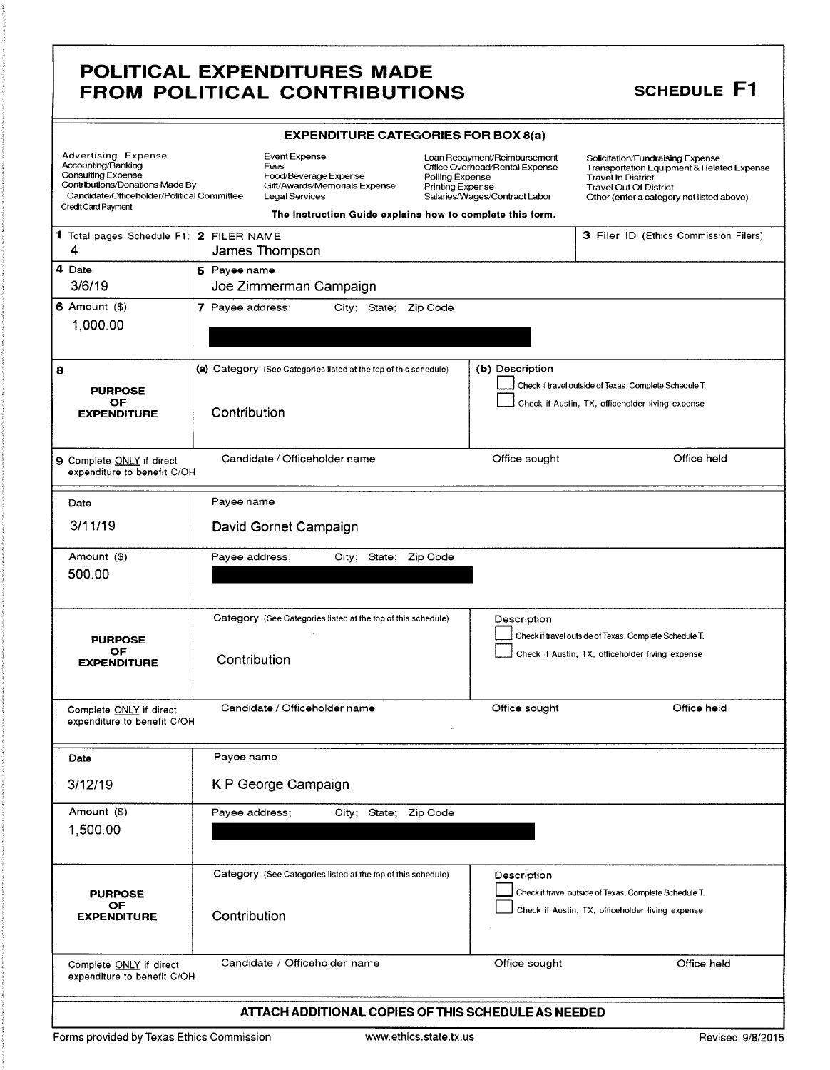### **SCHEDULE F1**

|                                                                                                                                                         |                                                                                  | <b>EXPENDITURE CATEGORIES FOR BOX 8(a)</b>                                                               |                                                                                                                                        |                 |                                                                                                                                             |                                            |  |  |  |  |
|---------------------------------------------------------------------------------------------------------------------------------------------------------|----------------------------------------------------------------------------------|----------------------------------------------------------------------------------------------------------|----------------------------------------------------------------------------------------------------------------------------------------|-----------------|---------------------------------------------------------------------------------------------------------------------------------------------|--------------------------------------------|--|--|--|--|
| <b>Advertising Expense</b><br>Accounting/Banking<br>Consulting Expense<br>Contributions/Donations Made By<br>Candidate/Officeholder/Political Committee |                                                                                  | <b>Event Expense</b><br>Fees<br>Food/Beverage Expense<br>Gift/Awards/Memorials Expense<br>Legal Services | Loan Repayment/Reimbursement<br>Office Overhead/Rental Expense<br>Polling Expense<br>Printing Expense<br>Salaries/Wages/Contract Labor |                 | Solicitation/Fundraising Expense<br><b>Travel In District</b><br><b>Travel Out Of District</b><br>Other (enter a category not listed above) | Transportation Equipment & Related Expense |  |  |  |  |
|                                                                                                                                                         | Credit Card Payment<br>The Instruction Guide explains how to complete this form. |                                                                                                          |                                                                                                                                        |                 |                                                                                                                                             |                                            |  |  |  |  |
| 1 Total pages Schedule F1: 2 FILER NAME<br>4                                                                                                            |                                                                                  | James Thompson                                                                                           |                                                                                                                                        |                 | 3 Filer ID (Ethics Commission Filers)                                                                                                       |                                            |  |  |  |  |
| 4 Date                                                                                                                                                  | 5 Payee name                                                                     |                                                                                                          |                                                                                                                                        |                 |                                                                                                                                             |                                            |  |  |  |  |
| 3/6/19                                                                                                                                                  |                                                                                  | Joe Zimmerman Campaign                                                                                   |                                                                                                                                        |                 |                                                                                                                                             |                                            |  |  |  |  |
| $6$ Amount $(9)$                                                                                                                                        | 7 Payee address;                                                                 | City; State; Zip Code                                                                                    |                                                                                                                                        |                 |                                                                                                                                             |                                            |  |  |  |  |
| 1,000.00                                                                                                                                                |                                                                                  |                                                                                                          |                                                                                                                                        |                 |                                                                                                                                             |                                            |  |  |  |  |
| 8<br><b>PURPOSE</b><br>OF<br><b>EXPENDITURE</b>                                                                                                         | Contribution                                                                     | (a) Category (See Categories listed at the top of this schedule)                                         |                                                                                                                                        | (b) Description | Check if travel outside of Texas. Complete Schedule T.<br>Check if Austin, TX, officeholder living expense                                  |                                            |  |  |  |  |
| 9 Complete ONLY if direct<br>expenditure to benefit C/OH                                                                                                |                                                                                  | Candidate / Officeholder name                                                                            |                                                                                                                                        | Office sought   |                                                                                                                                             | Office held                                |  |  |  |  |
| Date                                                                                                                                                    | Payee name                                                                       |                                                                                                          |                                                                                                                                        |                 |                                                                                                                                             |                                            |  |  |  |  |
| 3/11/19                                                                                                                                                 |                                                                                  | David Gornet Campaign                                                                                    |                                                                                                                                        |                 |                                                                                                                                             |                                            |  |  |  |  |
| Amount (\$)<br>500.00                                                                                                                                   | Payee address;                                                                   | City; State;                                                                                             | Zip Code                                                                                                                               |                 |                                                                                                                                             |                                            |  |  |  |  |
| <b>PURPOSE</b><br>OF<br><b>EXPENDITURE</b>                                                                                                              | Contribution                                                                     | Category (See Categories listed at the top of this schedule)                                             |                                                                                                                                        | Description     | Check if travel outside of Texas. Complete Schedule T.<br>Check if Austin, TX, officeholder living expense                                  |                                            |  |  |  |  |
| Complete ONLY if direct<br>expenditure to benefit C/OH                                                                                                  |                                                                                  | Candidate / Officeholder name                                                                            |                                                                                                                                        | Office sought   |                                                                                                                                             | Office held                                |  |  |  |  |
| Date                                                                                                                                                    | Payee name                                                                       |                                                                                                          |                                                                                                                                        |                 |                                                                                                                                             |                                            |  |  |  |  |
| 3/12/19                                                                                                                                                 |                                                                                  | K P George Campaign                                                                                      |                                                                                                                                        |                 |                                                                                                                                             |                                            |  |  |  |  |
| Amount (\$)<br>1,500.00                                                                                                                                 | Payee address;                                                                   | City; State; Zip Code                                                                                    |                                                                                                                                        |                 |                                                                                                                                             |                                            |  |  |  |  |
| <b>PURPOSE</b><br>OF<br><b>EXPENDITURE</b>                                                                                                              | Contribution                                                                     | Category (See Categories listed at the top of this schedule)                                             |                                                                                                                                        | Description     | Check if travel outside of Texas. Complete Schedule T.<br>Check if Austin, TX, officeholder living expense                                  |                                            |  |  |  |  |
| Complete ONLY if direct<br>expenditure to benefit C/OH                                                                                                  |                                                                                  | Candidate / Officeholder name                                                                            |                                                                                                                                        | Office sought   |                                                                                                                                             | Office held                                |  |  |  |  |
|                                                                                                                                                         |                                                                                  | ATTACH ADDITIONAL COPIES OF THIS SCHEDULE AS NEEDED                                                      |                                                                                                                                        |                 |                                                                                                                                             |                                            |  |  |  |  |

Forms provided by Texas Ethics Commission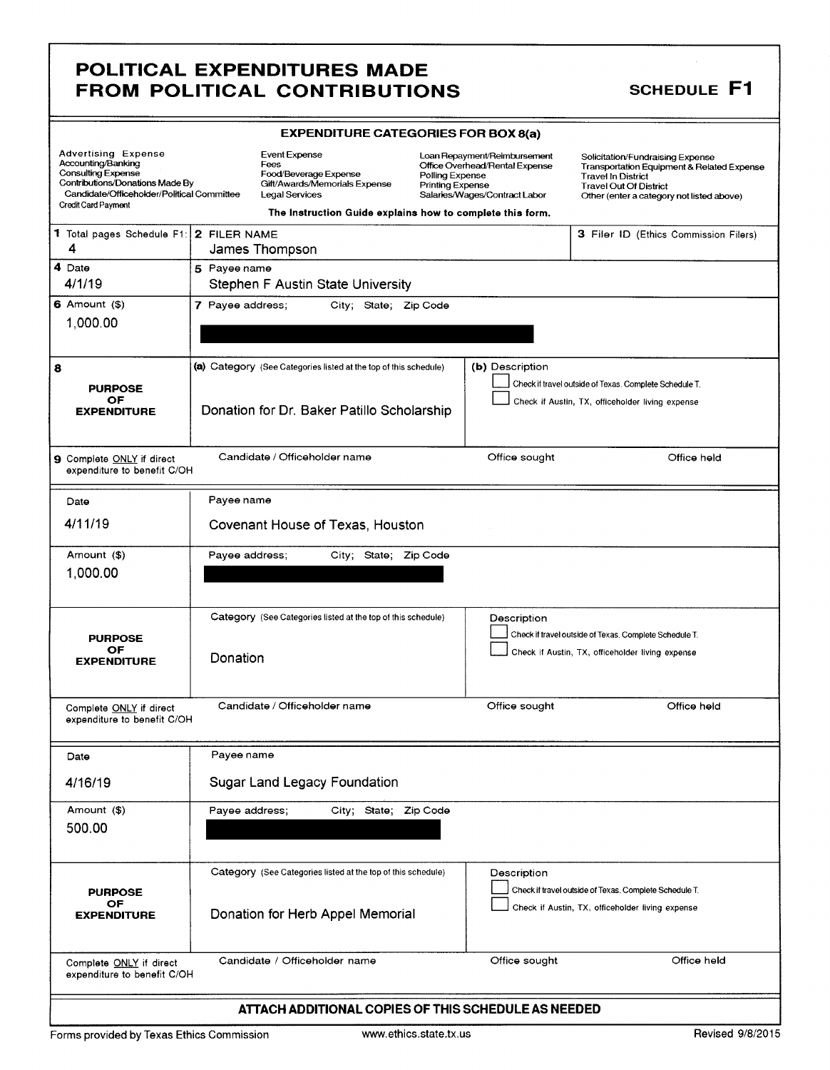### **SCHEDULE F1**

| <b>EXPENDITURE CATEGORIES FOR BOX 8(a)</b>                                                                                                                                            |                  |                                                                                                                                                                                                                                                                  |  |                 |                                                                                                                                                                                           |                                       |  |
|---------------------------------------------------------------------------------------------------------------------------------------------------------------------------------------|------------------|------------------------------------------------------------------------------------------------------------------------------------------------------------------------------------------------------------------------------------------------------------------|--|-----------------|-------------------------------------------------------------------------------------------------------------------------------------------------------------------------------------------|---------------------------------------|--|
| <b>Advertising Expense</b><br>Accounting/Banking<br><b>Consulting Expense</b><br>Contributions/Donations Made By<br>Candidate/Officeholder/Political Committee<br>Credit Card Payment |                  | <b>Event Expense</b><br>Loan Repayment/Reimbursement<br>Fees<br>Office Overhead/Rental Expense<br>Food/Beverage Expense<br>Polling Expense<br>Gift/Awards/Memorials Expense<br><b>Printing Expense</b><br><b>Legal Services</b><br>Salaries/Wages/Contract Labor |  |                 | Solicitation/Fundraising Expense<br>Transportation Equipment & Related Expense<br><b>Travel In District</b><br><b>Travel Out Of District</b><br>Other (enter a category not listed above) |                                       |  |
|                                                                                                                                                                                       |                  | The instruction Guide explains how to complete this form.                                                                                                                                                                                                        |  |                 |                                                                                                                                                                                           |                                       |  |
| 1 Total pages Schedule F1: 2 FILER NAME<br>4                                                                                                                                          | James Thompson   |                                                                                                                                                                                                                                                                  |  |                 |                                                                                                                                                                                           | 3 Filer ID (Ethics Commission Filers) |  |
| 4 Date<br>4/1/19                                                                                                                                                                      | 5 Payee name     | Stephen F Austin State University                                                                                                                                                                                                                                |  |                 |                                                                                                                                                                                           |                                       |  |
| $6$ Amount $(3)$<br>1,000.00                                                                                                                                                          | 7 Payee address; | City; State; Zip Code                                                                                                                                                                                                                                            |  |                 |                                                                                                                                                                                           |                                       |  |
| 8<br><b>PURPOSE</b><br>OF<br><b>EXPENDITURE</b>                                                                                                                                       |                  | (a) Category (See Categories listed at the top of this schedule)<br>Donation for Dr. Baker Patillo Scholarship                                                                                                                                                   |  | (b) Description | Check if travel outside of Texas. Complete Schedule T.<br>Check if Austin, TX, officeholder living expense                                                                                |                                       |  |
| 9 Complete ONLY if direct<br>expenditure to benefit C/OH                                                                                                                              |                  | Candidate / Officeholder name                                                                                                                                                                                                                                    |  | Office sought   |                                                                                                                                                                                           | Office held                           |  |
| Date                                                                                                                                                                                  | Payee name       |                                                                                                                                                                                                                                                                  |  |                 |                                                                                                                                                                                           |                                       |  |
| 4/11/19                                                                                                                                                                               |                  | Covenant House of Texas, Houston                                                                                                                                                                                                                                 |  |                 |                                                                                                                                                                                           |                                       |  |
| Amount (\$)                                                                                                                                                                           | Payee address;   | City; State; Zip Code                                                                                                                                                                                                                                            |  |                 |                                                                                                                                                                                           |                                       |  |
| 1,000.00                                                                                                                                                                              |                  |                                                                                                                                                                                                                                                                  |  |                 |                                                                                                                                                                                           |                                       |  |
| <b>PURPOSE</b>                                                                                                                                                                        |                  | Category (See Categories listed at the top of this schedule)                                                                                                                                                                                                     |  | Description     | Check if travel outside of Texas. Complete Schedule T.                                                                                                                                    |                                       |  |
| OF<br><b>EXPENDITURE</b>                                                                                                                                                              | Donation         |                                                                                                                                                                                                                                                                  |  |                 | Check if Austin, TX, officeholder living expense                                                                                                                                          |                                       |  |
| Complete ONLY if direct<br>expenditure to benefit C/OH                                                                                                                                |                  | Candidate / Officeholder name                                                                                                                                                                                                                                    |  | Office sought   |                                                                                                                                                                                           | Office held                           |  |
| Date                                                                                                                                                                                  | Payee name       |                                                                                                                                                                                                                                                                  |  |                 |                                                                                                                                                                                           |                                       |  |
| 4/16/19                                                                                                                                                                               |                  | Sugar Land Legacy Foundation                                                                                                                                                                                                                                     |  |                 |                                                                                                                                                                                           |                                       |  |
| Amount (\$)<br>500.00                                                                                                                                                                 | Payee address;   | City; State; Zip Code                                                                                                                                                                                                                                            |  |                 |                                                                                                                                                                                           |                                       |  |
| <b>PURPOSE</b>                                                                                                                                                                        |                  | Category (See Categories listed at the top of this schedule)                                                                                                                                                                                                     |  | Description     | Check if travel outside of Texas. Complete Schedule T.                                                                                                                                    |                                       |  |
| OF<br><b>EXPENDITURE</b>                                                                                                                                                              |                  | Donation for Herb Appel Memorial                                                                                                                                                                                                                                 |  |                 | Check if Austin, TX, officeholder living expense                                                                                                                                          |                                       |  |
| Complete ONLY if direct<br>expenditure to benefit C/OH                                                                                                                                |                  | Candidate / Officeholder name                                                                                                                                                                                                                                    |  | Office sought   |                                                                                                                                                                                           | Office held                           |  |
| ATTACH ADDITIONAL COPIES OF THIS SCHEDULE AS NEEDED                                                                                                                                   |                  |                                                                                                                                                                                                                                                                  |  |                 |                                                                                                                                                                                           |                                       |  |

www.ethics.state.tx.us